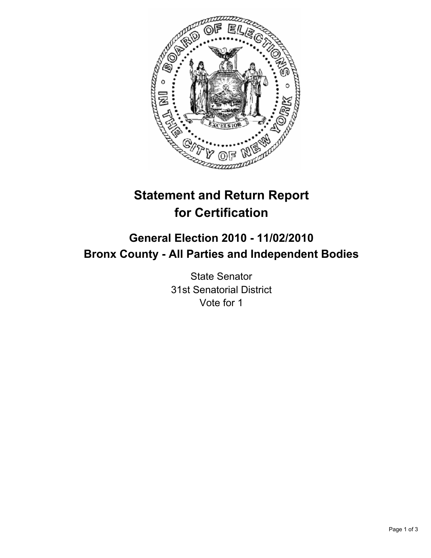

# **Statement and Return Report for Certification**

## **General Election 2010 - 11/02/2010 Bronx County - All Parties and Independent Bodies**

State Senator 31st Senatorial District Vote for 1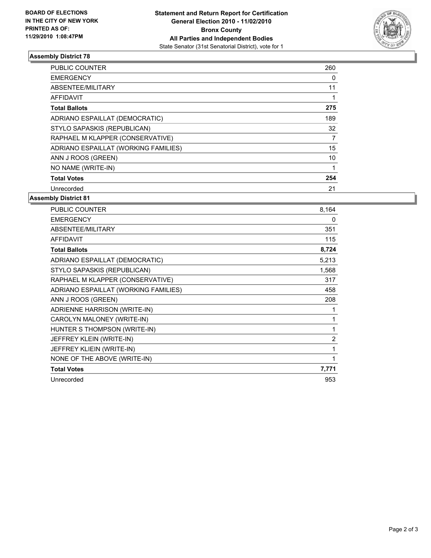

## **Assembly District 78**

| <b>PUBLIC COUNTER</b>                | 260 |
|--------------------------------------|-----|
| <b>EMERGENCY</b>                     | 0   |
| ABSENTEE/MILITARY                    | 11  |
| AFFIDAVIT                            | 1   |
| <b>Total Ballots</b>                 | 275 |
| ADRIANO ESPAILLAT (DEMOCRATIC)       | 189 |
| STYLO SAPASKIS (REPUBLICAN)          | 32  |
| RAPHAEL M KLAPPER (CONSERVATIVE)     | 7   |
| ADRIANO ESPAILLAT (WORKING FAMILIES) | 15  |
| ANN J ROOS (GREEN)                   | 10  |
| NO NAME (WRITE-IN)                   |     |
| <b>Total Votes</b>                   | 254 |
| Unrecorded                           | 21  |

### **Assembly District 81**

| <b>PUBLIC COUNTER</b>                | 8,164          |
|--------------------------------------|----------------|
| <b>EMERGENCY</b>                     | 0              |
| ABSENTEE/MILITARY                    | 351            |
| <b>AFFIDAVIT</b>                     | 115            |
| <b>Total Ballots</b>                 | 8,724          |
| ADRIANO ESPAILLAT (DEMOCRATIC)       | 5,213          |
| STYLO SAPASKIS (REPUBLICAN)          | 1,568          |
| RAPHAEL M KLAPPER (CONSERVATIVE)     | 317            |
| ADRIANO ESPAILLAT (WORKING FAMILIES) | 458            |
| ANN J ROOS (GREEN)                   | 208            |
| ADRIENNE HARRISON (WRITE-IN)         | 1              |
| CAROLYN MALONEY (WRITE-IN)           | 1              |
| HUNTER S THOMPSON (WRITE-IN)         | 1              |
| JEFFREY KLEIN (WRITE-IN)             | $\overline{2}$ |
| JEFFREY KLIEIN (WRITE-IN)            | 1              |
| NONE OF THE ABOVE (WRITE-IN)         | 1              |
| <b>Total Votes</b>                   | 7,771          |
| Unrecorded                           | 953            |